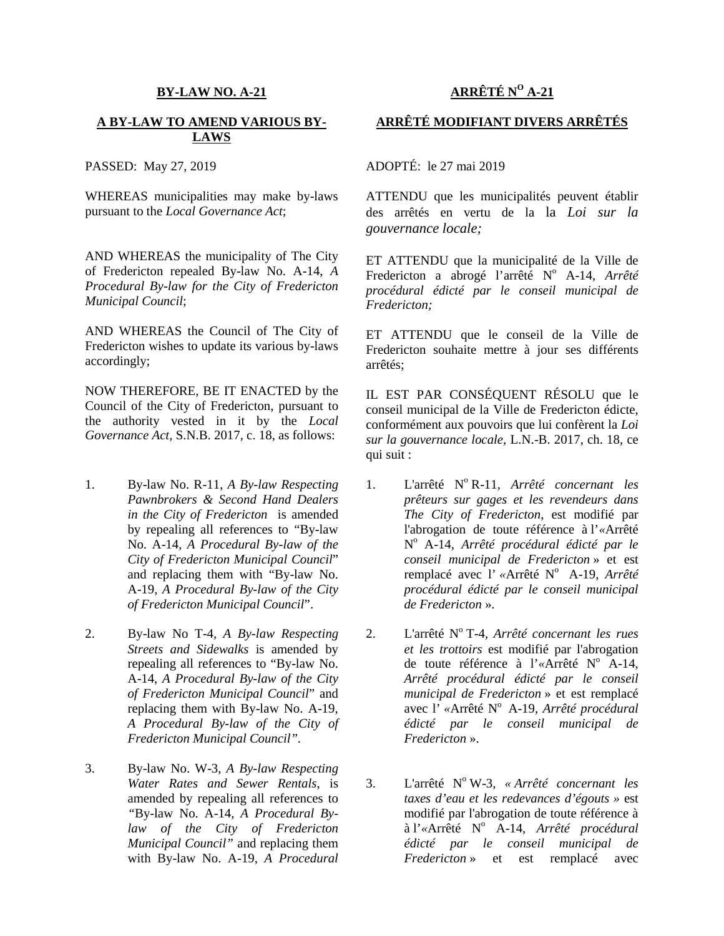#### **BY-LAW NO. A-21**

#### **A BY-LAW TO AMEND VARIOUS BY- LAWS**

PASSED: May 27, 2019

WHEREAS municipalities may make by-laws pursuant to the *Local Governance Act*;

AND WHEREAS the municipality of The City of Fredericton repealed By-law No. A-14, *A Procedural By-law for the City of Fredericton Municipal Council*;

AND WHEREAS the Council of The City of Fredericton wishes to update its various by-laws accordingly;

NOW THEREFORE, BE IT ENACTED by the Council of the City of Fredericton, pursuant to the authority vested in it by the *Local Governance Act,* S.N.B. 2017, c. 18, as follows:

- 1. By-law No. R-11, *A By-law Respecting Pawnbrokers & Second Hand Dealers in the City of Fredericton* is amended by repealing all references to "By-law No. A-14, *A Procedural By-law of the City of Fredericton Municipal Council*" and replacing them with "By-law No. A-19*, A Procedural By-law of the City of Fredericton Municipal Council*".
- 2. By-law No T-4, *A By-law Respecting Streets and Sidewalks* is amended by repealing all references to "By-law No. A-14, *A Procedural By-law of the City of Fredericton Municipal Council*" and replacing them with By-law No. A-19, *A Procedural By-law of the City of Fredericton Municipal Council".*
- 3. By-law No. W-3, *A By-law Respecting Water Rates and Sewer Rentals*, is amended by repealing all references to *"*By-law No. A-14*, A Procedural Bylaw of the City of Fredericton Municipal Council"* and replacing them with By-law No. A-19*, A Procedural*

# **ARRÊTÉ N<sup>O</sup> A-21**

## **ARRÊTÉ MODIFIANT DIVERS ARRÊTÉS**

### ADOPTÉ: le 27 mai 2019

ATTENDU que les municipalités peuvent établir des arrêtés en vertu de la la *Loi sur la gouvernance locale;*

ET ATTENDU que la municipalité de la Ville de Fredericton a abrogé l'arrêté N<sup>o</sup> A-14, Arrêté *procédural édicté par le conseil municipal de Fredericton;*

ET ATTENDU que le conseil de la Ville de Fredericton souhaite mettre à jour ses différents arrêtés;

IL EST PAR CONSÉQUENT RÉSOLU que le conseil municipal de la Ville de Fredericton édicte, conformément aux pouvoirs que lui confèrent la *Loi sur la gouvernance locale,* L.N.-B. 2017, ch. 18, ce qui suit :

- 1. L'arrêté N<sup>o</sup> R-11*, Arrêté concernant les prêteurs sur gages et les revendeurs dans The City of Fredericton,* est modifié par l'abrogation de toute référence à l'*«*Arrêté N <sup>o</sup> A-14, *Arrêté procédural édicté par le conseil municipal de Fredericton* » et est remplacé avec l'«Arrêté N° A-19, Arrêté *procédural édicté par le conseil municipal de Fredericton* ».
- 2. L'arrêté N<sup>o</sup> T-4*, Arrêté concernant les rues et les trottoirs* est modifié par l'abrogation de toute référence à l'«Arrêté N<sup>o</sup> A-14, *Arrêté procédural édicté par le conseil municipal de Fredericton* » et est remplacé avec l'«Arrêté N° A-19, *Arrêté procédural édicté par le conseil municipal de Fredericton* ».
- 3. L'arrêté N<sup>o</sup> W-3*, « Arrêté concernant les taxes d'eau et les redevances d'égouts »* est modifié par l'abrogation de toute référence à à l'*«*Arrêté N<sup>o</sup> A-14, *Arrêté procédural édicté par le conseil municipal de Fredericton* » et est remplacé avec